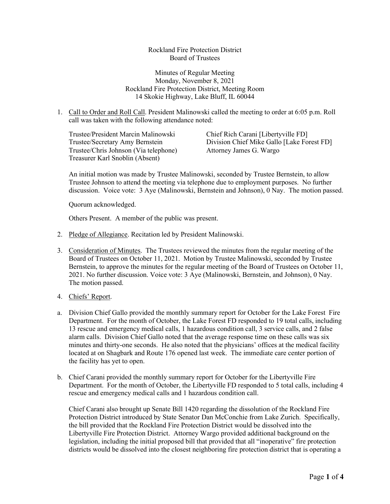Rockland Fire Protection District Board of Trustees

Minutes of Regular Meeting Monday, November 8, 2021 Rockland Fire Protection District, Meeting Room 14 Skokie Highway, Lake Bluff, IL 60044

1. Call to Order and Roll Call. President Malinowski called the meeting to order at 6:05 p.m. Roll call was taken with the following attendance noted:

Trustee/President Marcin Malinowski Chief Rich Carani [Libertyville FD] Trustee/Chris Johnson (Via telephone) Attorney James G. Wargo Treasurer Karl Snoblin (Absent)

Trustee/Secretary Amy Bernstein Division Chief Mike Gallo [Lake Forest FD]

An initial motion was made by Trustee Malinowski, seconded by Trustee Bernstein, to allow Trustee Johnson to attend the meeting via telephone due to employment purposes. No further discussion. Voice vote: 3 Aye (Malinowski, Bernstein and Johnson), 0 Nay. The motion passed.

Quorum acknowledged.

Others Present. A member of the public was present.

- 2. Pledge of Allegiance. Recitation led by President Malinowski.
- 3. Consideration of Minutes. The Trustees reviewed the minutes from the regular meeting of the Board of Trustees on October 11, 2021. Motion by Trustee Malinowski, seconded by Trustee Bernstein, to approve the minutes for the regular meeting of the Board of Trustees on October 11, 2021. No further discussion. Voice vote: 3 Aye (Malinowski, Bernstein, and Johnson), 0 Nay. The motion passed.
- 4. Chiefs' Report.
- a. Division Chief Gallo provided the monthly summary report for October for the Lake Forest Fire Department. For the month of October, the Lake Forest FD responded to 19 total calls, including 13 rescue and emergency medical calls, 1 hazardous condition call, 3 service calls, and 2 false alarm calls. Division Chief Gallo noted that the average response time on these calls was six minutes and thirty-one seconds. He also noted that the physicians' offices at the medical facility located at on Shagbark and Route 176 opened last week. The immediate care center portion of the facility has yet to open.
- b. Chief Carani provided the monthly summary report for October for the Libertyville Fire Department. For the month of October, the Libertyville FD responded to 5 total calls, including 4 rescue and emergency medical calls and 1 hazardous condition call.

Chief Carani also brought up Senate Bill 1420 regarding the dissolution of the Rockland Fire Protection District introduced by State Senator Dan McConchie from Lake Zurich. Specifically, the bill provided that the Rockland Fire Protection District would be dissolved into the Libertyville Fire Protection District. Attorney Wargo provided additional background on the legislation, including the initial proposed bill that provided that all "inoperative" fire protection districts would be dissolved into the closest neighboring fire protection district that is operating a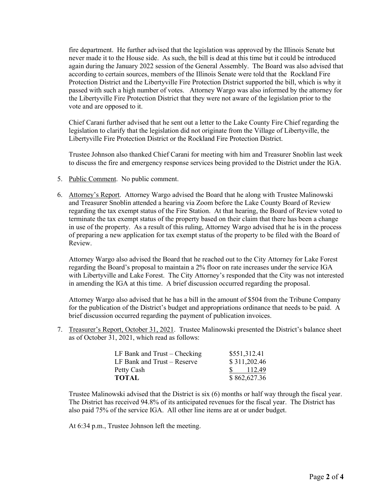fire department. He further advised that the legislation was approved by the Illinois Senate but never made it to the House side. As such, the bill is dead at this time but it could be introduced again during the January 2022 session of the General Assembly. The Board was also advised that according to certain sources, members of the Illinois Senate were told that the Rockland Fire Protection District and the Libertyville Fire Protection District supported the bill, which is why it passed with such a high number of votes. Attorney Wargo was also informed by the attorney for the Libertyville Fire Protection District that they were not aware of the legislation prior to the vote and are opposed to it.

Chief Carani further advised that he sent out a letter to the Lake County Fire Chief regarding the legislation to clarify that the legislation did not originate from the Village of Libertyville, the Libertyville Fire Protection District or the Rockland Fire Protection District.

Trustee Johnson also thanked Chief Carani for meeting with him and Treasurer Snoblin last week to discuss the fire and emergency response services being provided to the District under the IGA.

- 5. Public Comment. No public comment.
- 6. Attorney's Report. Attorney Wargo advised the Board that he along with Trustee Malinowski and Treasurer Snoblin attended a hearing via Zoom before the Lake County Board of Review regarding the tax exempt status of the Fire Station. At that hearing, the Board of Review voted to terminate the tax exempt status of the property based on their claim that there has been a change in use of the property. As a result of this ruling, Attorney Wargo advised that he is in the process of preparing a new application for tax exempt status of the property to be filed with the Board of Review.

Attorney Wargo also advised the Board that he reached out to the City Attorney for Lake Forest regarding the Board's proposal to maintain a 2% floor on rate increases under the service IGA with Libertyville and Lake Forest. The City Attorney's responded that the City was not interested in amending the IGA at this time. A brief discussion occurred regarding the proposal.

Attorney Wargo also advised that he has a bill in the amount of \$504 from the Tribune Company for the publication of the District's budget and appropriations ordinance that needs to be paid. A brief discussion occurred regarding the payment of publication invoices.

7. Treasurer's Report, October 31, 2021. Trustee Malinowski presented the District's balance sheet as of October 31, 2021, which read as follows:

| LF Bank and $Trust - Checking$ | \$551,312.41 |
|--------------------------------|--------------|
| LF Bank and Trust – Reserve    | \$311,202.46 |
| Petty Cash                     | 112.49       |
| TOTAL                          | \$862,627.36 |

Trustee Malinowski advised that the District is six (6) months or half way through the fiscal year. The District has received 94.8% of its anticipated revenues for the fiscal year. The District has also paid 75% of the service IGA. All other line items are at or under budget.

At 6:34 p.m., Trustee Johnson left the meeting.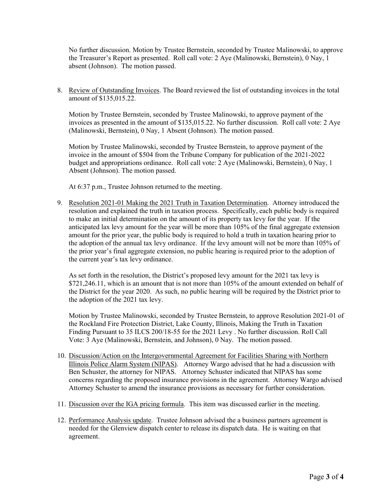No further discussion. Motion by Trustee Bernstein, seconded by Trustee Malinowski, to approve the Treasurer's Report as presented. Roll call vote: 2 Aye (Malinowski, Bernstein), 0 Nay, 1 absent (Johnson). The motion passed.

8. Review of Outstanding Invoices. The Board reviewed the list of outstanding invoices in the total amount of \$135,015.22.

Motion by Trustee Bernstein, seconded by Trustee Malinowski, to approve payment of the invoices as presented in the amount of \$135,015.22. No further discussion. Roll call vote: 2 Aye (Malinowski, Bernstein), 0 Nay, 1 Absent (Johnson). The motion passed.

Motion by Trustee Malinowski, seconded by Trustee Bernstein, to approve payment of the invoice in the amount of \$504 from the Tribune Company for publication of the 2021-2022 budget and appropriations ordinance. Roll call vote: 2 Aye (Malinowski, Bernstein), 0 Nay, 1 Absent (Johnson). The motion passed.

At 6:37 p.m., Trustee Johnson returned to the meeting.

9. Resolution 2021-01 Making the 2021 Truth in Taxation Determination. Attorney introduced the resolution and explained the truth in taxation process. Specifically, each public body is required to make an initial determination on the amount of its property tax levy for the year. If the anticipated lax levy amount for the year will be more than 105% of the final aggregate extension amount for the prior year, the public body is required to hold a truth in taxation hearing prior to the adoption of the annual tax levy ordinance. If the levy amount will not be more than 105% of the prior year's final aggregate extension, no public hearing is required prior to the adoption of the current year's tax levy ordinance.

As set forth in the resolution, the District's proposed levy amount for the 2021 tax levy is \$721,246.11, which is an amount that is not more than 105% of the amount extended on behalf of the District for the year 2020. As such, no public hearing will be required by the District prior to the adoption of the 2021 tax levy.

Motion by Trustee Malinowski, seconded by Trustee Bernstein, to approve Resolution 2021-01 of the Rockland Fire Protection District, Lake County, Illinois, Making the Truth in Taxation Finding Pursuant to 35 ILCS 200/18-55 for the 2021 Levy . No further discussion. Roll Call Vote: 3 Aye (Malinowski, Bernstein, and Johnson), 0 Nay. The motion passed.

- 10. Discussion/Action on the Intergovernmental Agreement for Facilities Sharing with Northern Illinois Police Alarm System (NIPAS). Attorney Wargo advised that he had a discussion with Ben Schuster, the attorney for NIPAS. Attorney Schuster indicated that NIPAS has some concerns regarding the proposed insurance provisions in the agreement. Attorney Wargo advised Attorney Schuster to amend the insurance provisions as necessary for further consideration.
- 11. Discussion over the IGA pricing formula. This item was discussed earlier in the meeting.
- 12. Performance Analysis update. Trustee Johnson advised the a business partners agreement is needed for the Glenview dispatch center to release its dispatch data. He is waiting on that agreement.